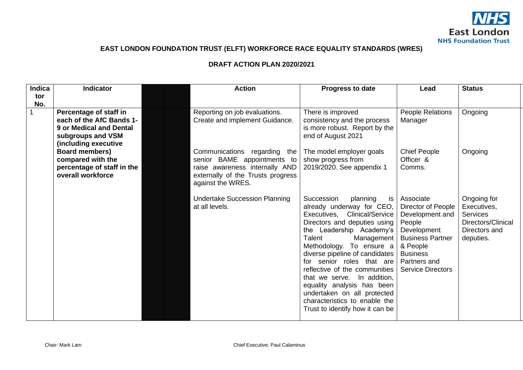

# **EAST LONDON FOUNDATION TRUST (ELFT) WORKFORCE RACE EQUALITY STANDARDS (WRES)**

### **DRAFT ACTION PLAN 2020/2021**

| <b>Indica</b> | <b>Indicator</b>                                                                                                                  | <b>Action</b>                                                                                                                                           | Progress to date                                                                                                                                                                                                                                                                                                                                                                                                                                                          | Lead                                                                                                                                                                              | <b>Status</b>                                                                                     |
|---------------|-----------------------------------------------------------------------------------------------------------------------------------|---------------------------------------------------------------------------------------------------------------------------------------------------------|---------------------------------------------------------------------------------------------------------------------------------------------------------------------------------------------------------------------------------------------------------------------------------------------------------------------------------------------------------------------------------------------------------------------------------------------------------------------------|-----------------------------------------------------------------------------------------------------------------------------------------------------------------------------------|---------------------------------------------------------------------------------------------------|
| tor           |                                                                                                                                   |                                                                                                                                                         |                                                                                                                                                                                                                                                                                                                                                                                                                                                                           |                                                                                                                                                                                   |                                                                                                   |
| No.           |                                                                                                                                   |                                                                                                                                                         |                                                                                                                                                                                                                                                                                                                                                                                                                                                                           |                                                                                                                                                                                   |                                                                                                   |
|               | Percentage of staff in<br>each of the AfC Bands 1-<br><b>9 or Medical and Dental</b><br>subgroups and VSM<br>(including executive | Reporting on job evaluations.<br>Create and implement Guidance.                                                                                         | There is improved<br>consistency and the process<br>is more robust. Report by the<br>end of August 2021                                                                                                                                                                                                                                                                                                                                                                   | People Relations<br>Manager                                                                                                                                                       | Ongoing                                                                                           |
|               | Board members)<br>compared with the<br>percentage of staff in the<br>overall workforce                                            | Communications regarding the<br>senior BAME appointments to<br>raise awareness internally AND<br>externally of the Trusts progress<br>against the WRES. | The model employer goals<br>show progress from<br>2019/2020. See appendix 1                                                                                                                                                                                                                                                                                                                                                                                               | <b>Chief People</b><br>Officer &<br>Comms.                                                                                                                                        | Ongoing                                                                                           |
|               |                                                                                                                                   | <b>Undertake Succession Planning</b><br>at all levels.                                                                                                  | Succession<br>planning<br>is<br>already underway for CEO,<br>Executives, Clinical/Service<br>Directors and deputies using<br>the Leadership Academy's<br>Talent<br>Management<br>Methodology. To ensure a<br>diverse pipeline of candidates<br>for senior roles that are<br>reflective of the communities<br>that we serve. In addition,<br>equality analysis has been<br>undertaken on all protected<br>characteristics to enable the<br>Trust to identify how it can be | Associate<br>Director of People<br>Development and<br>People<br>Development<br><b>Business Partner</b><br>& People<br><b>Business</b><br>Partners and<br><b>Service Directors</b> | Ongoing for<br>Executives,<br><b>Services</b><br>Directors/Clinical<br>Directors and<br>deputies. |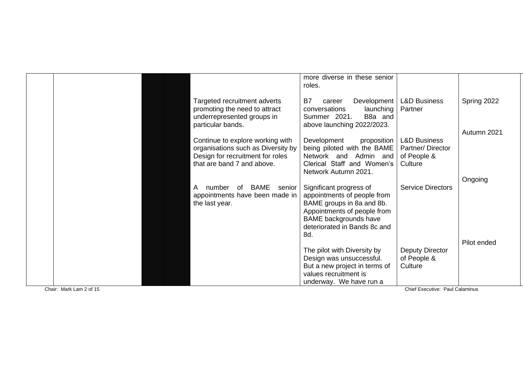|  |                                                                                                                                          | more diverse in these senior<br>roles.                                                                                                                                                    |                                                                       |                        |
|--|------------------------------------------------------------------------------------------------------------------------------------------|-------------------------------------------------------------------------------------------------------------------------------------------------------------------------------------------|-----------------------------------------------------------------------|------------------------|
|  | Targeted recruitment adverts<br>promoting the need to attract<br>underrepresented groups in<br>particular bands.                         | B7<br>Development  <br>career<br>conversations<br>launching<br>Summer 2021.<br>B <sub>8</sub> and<br>above launching 2022/2023.                                                           | <b>L&amp;D Business</b><br>Partner                                    | Spring 2022            |
|  | Continue to explore working with<br>organisations such as Diversity by<br>Design for recruitment for roles<br>that are band 7 and above. | Development<br>proposition<br>being piloted with the BAME<br>Network and Admin and<br>Clerical Staff and Women's<br>Network Autumn 2021.                                                  | <b>L&amp;D Business</b><br>Partner/Director<br>of People &<br>Culture | Autumn 2021<br>Ongoing |
|  | BAME<br>number<br>of<br>senior<br>A<br>appointments have been made in<br>the last year.                                                  | Significant progress of<br>appointments of people from<br>BAME groups in 8a and 8b.<br>Appointments of people from<br><b>BAME</b> backgrounds have<br>deteriorated in Bands 8c and<br>8d. | <b>Service Directors</b>                                              |                        |
|  |                                                                                                                                          | The pilot with Diversity by<br>Design was unsuccessful.<br>But a new project in terms of<br>values recruitment is<br>underway. We have run a                                              | Deputy Director<br>of People &<br>Culture                             | Pilot ended            |

Chair: Mark Lam 2 of 15 Chief Executive: Paul Calaminus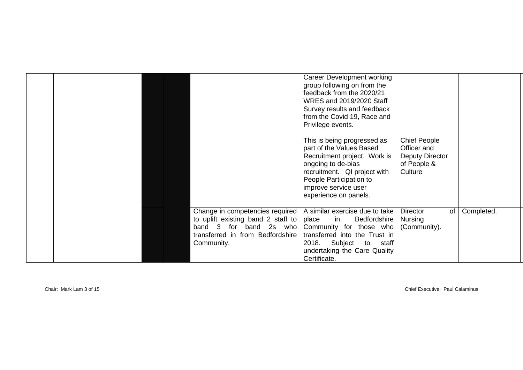|  |                                                                                                                                                        | Career Development working<br>group following on from the<br>feedback from the 2020/21<br>WRES and 2019/2020 Staff<br>Survey results and feedback<br>from the Covid 19, Race and<br>Privilege events.                     |                                                                                        |            |
|--|--------------------------------------------------------------------------------------------------------------------------------------------------------|---------------------------------------------------------------------------------------------------------------------------------------------------------------------------------------------------------------------------|----------------------------------------------------------------------------------------|------------|
|  |                                                                                                                                                        | This is being progressed as<br>part of the Values Based<br>Recruitment project. Work is<br>ongoing to de-bias<br>recruitment. QI project with<br>People Participation to<br>improve service user<br>experience on panels. | <b>Chief People</b><br>Officer and<br><b>Deputy Director</b><br>of People &<br>Culture |            |
|  | Change in competencies required  <br>to uplift existing band 2 staff to<br>for band 2s who<br>band 3<br>transferred in from Bedfordshire<br>Community. | A similar exercise due to take<br>Bedfordshire<br>place<br>in<br>Community for those who<br>transferred into the Trust in<br>Subject<br>2018.<br>to<br>staff<br>undertaking the Care Quality<br>Certificate.              | Director<br>of<br>Nursing<br>(Community).                                              | Completed. |

Chair: Mark Lam 3 of 15 Chief Executive: Paul Calaminus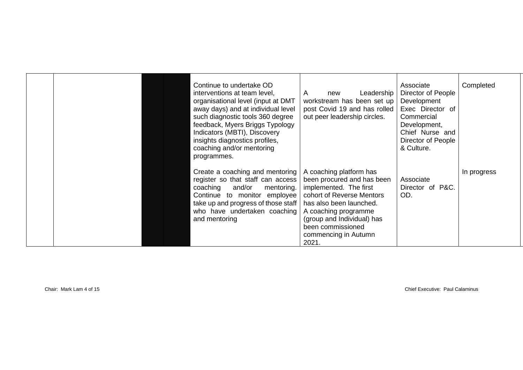|  | Continue to undertake OD<br>interventions at team level,<br>organisational level (input at DMT<br>away days) and at individual level<br>such diagnostic tools 360 degree<br>feedback, Myers Briggs Typology<br>Indicators (MBTI), Discovery<br>insights diagnostics profiles,<br>coaching and/or mentoring<br>programmes. | Leadership<br>A<br>new<br>workstream has been set up<br>post Covid 19 and has rolled<br>out peer leadership circles.                                                                                                                                | Associate<br>Director of People<br>Development<br>Exec Director of<br>Commercial<br>Development,<br>Chief Nurse and<br>Director of People<br>& Culture. | Completed   |
|--|---------------------------------------------------------------------------------------------------------------------------------------------------------------------------------------------------------------------------------------------------------------------------------------------------------------------------|-----------------------------------------------------------------------------------------------------------------------------------------------------------------------------------------------------------------------------------------------------|---------------------------------------------------------------------------------------------------------------------------------------------------------|-------------|
|  | Create a coaching and mentoring<br>register so that staff can access<br>coaching<br>and/or<br>mentoring.<br>Continue to monitor employee<br>take up and progress of those staff<br>who have undertaken coaching<br>and mentoring                                                                                          | A coaching platform has<br>been procured and has been<br>implemented. The first<br>cohort of Reverse Mentors<br>has also been launched.<br>A coaching programme<br>(group and Individual) has<br>been commissioned<br>commencing in Autumn<br>2021. | Associate<br>Director of P&C.<br>OD.                                                                                                                    | In progress |

Chair: Mark Lam 4 of 15 Chief Executive: Paul Calaminus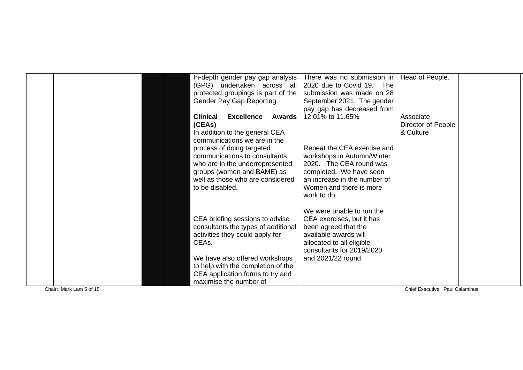|  | In-depth gender pay gap analysis                      | There was no submission in   | Head of People.    |
|--|-------------------------------------------------------|------------------------------|--------------------|
|  | (GPG) undertaken across all                           | 2020 due to Covid 19. The    |                    |
|  | protected groupings is part of the                    | submission was made on 28    |                    |
|  | Gender Pay Gap Reporting.                             | September 2021. The gender   |                    |
|  |                                                       | pay gap has decreased from   |                    |
|  | <b>Clinical</b><br><b>Excellence</b><br><b>Awards</b> | 12.01% to 11.65%             | Associate          |
|  | (CEAs)                                                |                              | Director of People |
|  | In addition to the general CEA                        |                              | & Culture          |
|  | communications we are in the                          |                              |                    |
|  | process of doing targeted                             | Repeat the CEA exercise and  |                    |
|  | communications to consultants                         | workshops in Autumn/Winter   |                    |
|  | who are in the underrepresented                       | 2020. The CEA round was      |                    |
|  | groups (women and BAME) as                            | completed. We have seen      |                    |
|  | well as those who are considered                      | an increase in the number of |                    |
|  | to be disabled.                                       | Women and there is more      |                    |
|  |                                                       | work to do.                  |                    |
|  |                                                       |                              |                    |
|  |                                                       | We were unable to run the    |                    |
|  | CEA briefing sessions to advise                       | CEA exercises, but it has    |                    |
|  | consultants the types of additional                   | been agreed that the         |                    |
|  | activities they could apply for                       | available awards will        |                    |
|  | CEAs.                                                 | allocated to all eligible    |                    |
|  |                                                       | consultants for 2019/2020    |                    |
|  | We have also offered workshops                        | and 2021/22 round.           |                    |
|  | to help with the completion of the                    |                              |                    |
|  | CEA application forms to try and                      |                              |                    |
|  | maximise the number of                                |                              |                    |

Chair: Mark Lam 5 of 15

Chief Executive: Paul Calaminus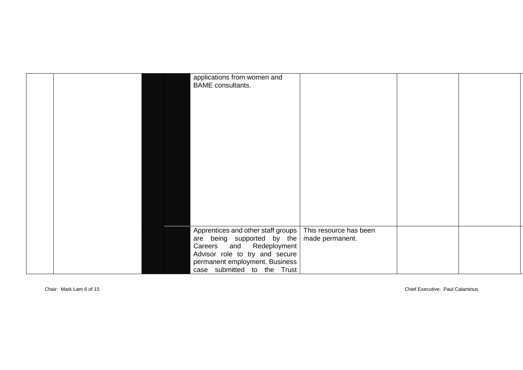|  | applications from women and<br><b>BAME</b> consultants.                                                   |  |  |
|--|-----------------------------------------------------------------------------------------------------------|--|--|
|  |                                                                                                           |  |  |
|  |                                                                                                           |  |  |
|  |                                                                                                           |  |  |
|  |                                                                                                           |  |  |
|  |                                                                                                           |  |  |
|  |                                                                                                           |  |  |
|  |                                                                                                           |  |  |
|  |                                                                                                           |  |  |
|  |                                                                                                           |  |  |
|  |                                                                                                           |  |  |
|  | Apprentices and other staff groups   This resource has been<br>are being supported by the made permanent. |  |  |
|  | Careers and Redeployment                                                                                  |  |  |
|  | Advisor role to try and secure                                                                            |  |  |
|  | permanent employment. Business                                                                            |  |  |
|  | case submitted to the Trust                                                                               |  |  |

Chair: Mark Lam 6 of 15 Chief Executive: Paul Calaminus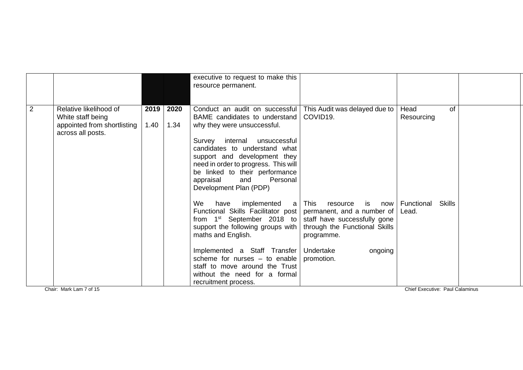|                |                                                                                                 |              |              | executive to request to make this<br>resource permanent.                                                                                                                                                                                                                                                                                                            |                                                                                                                                          |                                      |  |
|----------------|-------------------------------------------------------------------------------------------------|--------------|--------------|---------------------------------------------------------------------------------------------------------------------------------------------------------------------------------------------------------------------------------------------------------------------------------------------------------------------------------------------------------------------|------------------------------------------------------------------------------------------------------------------------------------------|--------------------------------------|--|
| $\overline{2}$ | Relative likelihood of<br>White staff being<br>appointed from shortlisting<br>across all posts. | 2019<br>1.40 | 2020<br>1.34 | Conduct an audit on successful   This Audit was delayed due to<br>BAME candidates to understand<br>why they were unsuccessful.<br>Survey internal unsuccessful<br>candidates to understand what<br>support and development they<br>need in order to progress. This will<br>be linked to their performance<br>Personal<br>appraisal<br>and<br>Development Plan (PDP) | COVID <sub>19</sub> .                                                                                                                    | of<br>Head<br>Resourcing             |  |
|                |                                                                                                 |              |              | We<br>have<br>implemented<br>Functional Skills Facilitator post   permanent, and a number of<br>from $1st$ September 2018 to<br>support the following groups with<br>maths and English.<br>Implemented a Staff Transfer                                                                                                                                             | a   This<br>resource<br>is<br>now<br>staff have successfully gone<br>through the Functional Skills<br>programme.<br>Undertake<br>ongoing | Functional<br><b>Skills</b><br>Lead. |  |
|                |                                                                                                 |              |              | scheme for nurses $-$ to enable<br>staff to move around the Trust<br>without the need for a formal<br>recruitment process.                                                                                                                                                                                                                                          | promotion.                                                                                                                               |                                      |  |
|                | Chair: Mark Lam 7 of 15                                                                         |              |              |                                                                                                                                                                                                                                                                                                                                                                     |                                                                                                                                          | Chief Executive: Paul Calaminus      |  |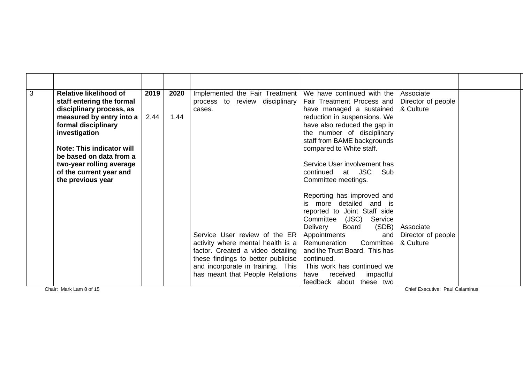| $\overline{\omega}$ | <b>Relative likelihood of</b><br>staff entering the formal<br>disciplinary process, as | 2019 | 2020 | Implemented the Fair Treatment<br>process to review disciplinary<br>cases.                                                                    | We have continued with the<br>Fair Treatment Process and<br>have managed a sustained                                                                            | Associate<br>Director of people<br>& Culture |  |
|---------------------|----------------------------------------------------------------------------------------|------|------|-----------------------------------------------------------------------------------------------------------------------------------------------|-----------------------------------------------------------------------------------------------------------------------------------------------------------------|----------------------------------------------|--|
|                     | measured by entry into a<br>formal disciplinary<br>investigation                       | 2.44 | 1.44 |                                                                                                                                               | reduction in suspensions. We<br>have also reduced the gap in<br>the number of disciplinary<br>staff from BAME backgrounds                                       |                                              |  |
|                     | Note: This indicator will<br>be based on data from a<br>two-year rolling average       |      |      |                                                                                                                                               | compared to White staff.<br>Service User involvement has                                                                                                        |                                              |  |
|                     | of the current year and<br>the previous year                                           |      |      |                                                                                                                                               | continued at JSC<br>Sub<br>Committee meetings.                                                                                                                  |                                              |  |
|                     |                                                                                        |      |      |                                                                                                                                               | Reporting has improved and<br>more detailed and is<br>is.<br>reported to Joint Staff side<br>Committee<br>(JSC)<br>Service<br>Delivery<br>(SDB)<br><b>Board</b> | Associate                                    |  |
|                     |                                                                                        |      |      | Service User review of the ER<br>activity where mental health is a<br>factor. Created a video detailing<br>these findings to better publicise | Appointments<br>and<br>Remuneration<br>Committee<br>and the Trust Board. This has<br>continued.                                                                 | Director of people<br>& Culture              |  |
|                     |                                                                                        |      |      | and incorporate in training. This<br>has meant that People Relations                                                                          | This work has continued we<br>have<br>impactful<br>received<br>feedback about these two                                                                         |                                              |  |

Chair: Mark Lam 8 of 15 Chief Executive: Paul Calaminus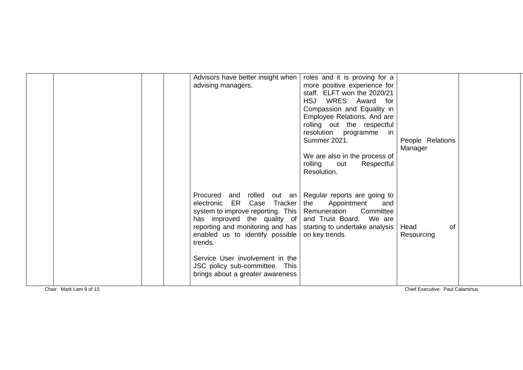|                         | Advisors have better insight when<br>advising managers.                                                                                                                                                                                                                                                                                                                                                                                           | roles and it is proving for a<br>more positive experience for<br>staff. ELFT won the 2020/21<br>HSJ WRES Award for<br>Compassion and Equality in<br>Employee Relations. And are<br>rolling out the respectful<br>resolution programme<br>in<br><b>Summer 2021.</b><br>We are also in the process of<br>rolling<br>out<br>Respectful<br>Resolution. | People Relations<br>Manager     |  |
|-------------------------|---------------------------------------------------------------------------------------------------------------------------------------------------------------------------------------------------------------------------------------------------------------------------------------------------------------------------------------------------------------------------------------------------------------------------------------------------|----------------------------------------------------------------------------------------------------------------------------------------------------------------------------------------------------------------------------------------------------------------------------------------------------------------------------------------------------|---------------------------------|--|
|                         | Procured and rolled out an Regular reports are going to<br>ER Case<br><b>Tracker</b><br>electronic<br>system to improve reporting. This   Remuneration<br>has improved the quality of and Trust Board.<br>reporting and monitoring and has   starting to undertake analysis<br>enabled us to identify possible on key trends.<br>trends.<br>Service User involvement in the<br>JSC policy sub-committee. This<br>brings about a greater awareness | Appointment<br>the<br>and<br>Committee<br>We are                                                                                                                                                                                                                                                                                                   | of<br>Head<br>Resourcing        |  |
| Chair: Mark Lam 9 of 15 |                                                                                                                                                                                                                                                                                                                                                                                                                                                   |                                                                                                                                                                                                                                                                                                                                                    | Chief Executive: Paul Calaminus |  |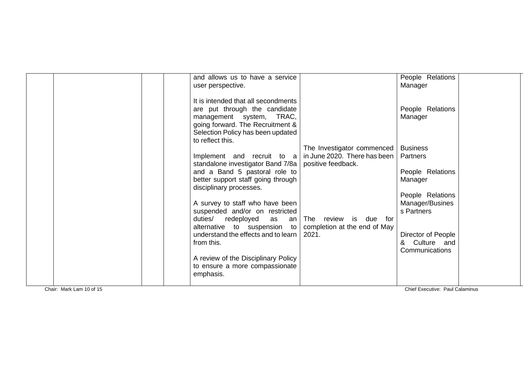|                          | and allows us to have a service                                                         |                            | People Relations                   |  |
|--------------------------|-----------------------------------------------------------------------------------------|----------------------------|------------------------------------|--|
|                          | user perspective.                                                                       |                            | Manager                            |  |
|                          | It is intended that all secondments                                                     |                            |                                    |  |
|                          | are put through the candidate                                                           |                            | People Relations                   |  |
|                          | management system, TRAC,                                                                |                            | Manager                            |  |
|                          | going forward. The Recruitment &<br>Selection Policy has been updated                   |                            |                                    |  |
|                          | to reflect this.                                                                        |                            |                                    |  |
|                          |                                                                                         | The Investigator commenced | <b>Business</b>                    |  |
|                          | Implement and recruit to $a \mid in$ June 2020. There has been                          |                            | Partners                           |  |
|                          | standalone investigator Band 7/8a   positive feedback.<br>and a Band 5 pastoral role to |                            | People Relations                   |  |
|                          | better support staff going through                                                      |                            | Manager                            |  |
|                          | disciplinary processes.                                                                 |                            |                                    |  |
|                          |                                                                                         |                            | People Relations                   |  |
|                          | A survey to staff who have been<br>suspended and/or on restricted                       |                            | Manager/Busines<br>s Partners      |  |
|                          | duties/<br>redeployed<br>as<br>an l                                                     | The review is due for      |                                    |  |
|                          | alternative to suspension to $\vert$ completion at the end of May                       |                            |                                    |  |
|                          | understand the effects and to learn                                                     | 2021.                      | Director of People                 |  |
|                          | from this.                                                                              |                            | Culture and<br>&<br>Communications |  |
|                          | A review of the Disciplinary Policy                                                     |                            |                                    |  |
|                          | to ensure a more compassionate                                                          |                            |                                    |  |
|                          | emphasis.                                                                               |                            |                                    |  |
| Chair: Mark Lam 10 of 15 |                                                                                         |                            | Chief Executive: Paul Calaminus    |  |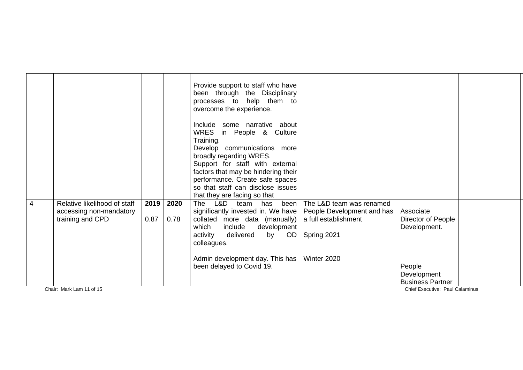|   |                              |      |      | Provide support to staff who have<br>been through the Disciplinary<br>processes to help them to<br>overcome the experience. |                            |                                 |  |
|---|------------------------------|------|------|-----------------------------------------------------------------------------------------------------------------------------|----------------------------|---------------------------------|--|
|   |                              |      |      | Include some narrative about<br>WRES<br>in People & Culture                                                                 |                            |                                 |  |
|   |                              |      |      | Training.                                                                                                                   |                            |                                 |  |
|   |                              |      |      | Develop communications more                                                                                                 |                            |                                 |  |
|   |                              |      |      | broadly regarding WRES.                                                                                                     |                            |                                 |  |
|   |                              |      |      | Support for staff with external                                                                                             |                            |                                 |  |
|   |                              |      |      | factors that may be hindering their<br>performance. Create safe spaces                                                      |                            |                                 |  |
|   |                              |      |      | so that staff can disclose issues                                                                                           |                            |                                 |  |
|   |                              |      |      | that they are facing so that                                                                                                |                            |                                 |  |
| 4 | Relative likelihood of staff | 2019 | 2020 | The<br>L&D<br>been<br>team<br>has                                                                                           | The L&D team was renamed   |                                 |  |
|   | accessing non-mandatory      |      |      | significantly invested in. We have                                                                                          | People Development and has | Associate                       |  |
|   | training and CPD             | 0.87 | 0.78 | collated more data (manually)                                                                                               | a full establishment       | Director of People              |  |
|   |                              |      |      | which<br>include<br>development<br>delivered                                                                                |                            | Development.                    |  |
|   |                              |      |      | OD<br>activity<br>by<br>colleagues.                                                                                         | Spring 2021                |                                 |  |
|   |                              |      |      |                                                                                                                             |                            |                                 |  |
|   |                              |      |      | Admin development day. This has                                                                                             | Winter 2020                |                                 |  |
|   |                              |      |      | been delayed to Covid 19.                                                                                                   |                            | People                          |  |
|   |                              |      |      |                                                                                                                             |                            | Development                     |  |
|   |                              |      |      |                                                                                                                             |                            | <b>Business Partner</b>         |  |
|   | Chair: Mark Lam 11 of 15     |      |      |                                                                                                                             |                            | Chief Executive: Paul Calaminus |  |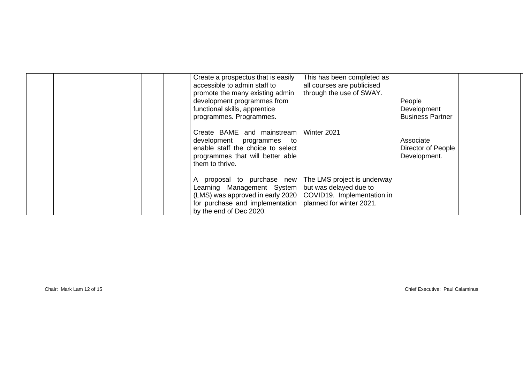|  | Create a prospectus that is easily<br>accessible to admin staff to<br>promote the many existing admin<br>development programmes from<br>functional skills, apprentice<br>programmes. Programmes.<br>Create BAME and mainstream                                            | This has been completed as<br>all courses are publicised<br>through the use of SWAY.<br>Winter 2021 | People<br>Development<br><b>Business Partner</b> |  |
|--|---------------------------------------------------------------------------------------------------------------------------------------------------------------------------------------------------------------------------------------------------------------------------|-----------------------------------------------------------------------------------------------------|--------------------------------------------------|--|
|  | development programmes to<br>enable staff the choice to select<br>programmes that will better able<br>them to thrive.                                                                                                                                                     |                                                                                                     | Associate<br>Director of People<br>Development.  |  |
|  | A proposal to purchase new The LMS project is underway<br>Learning Management System   but was delayed due to<br>(LMS) was approved in early 2020   COVID19. Implementation in<br>for purchase and implementation $ $ planned for winter 2021.<br>by the end of Dec 2020. |                                                                                                     |                                                  |  |

Chair: Mark Lam 12 of 15 Chief Executive: Paul Calaminus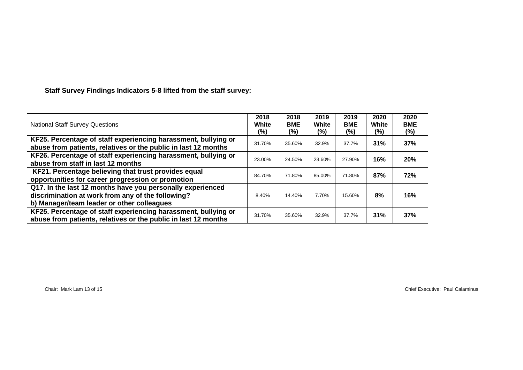# **Staff Survey Findings Indicators 5-8 lifted from the staff survey:**

| <b>National Staff Survey Questions</b>                                                                                                                        | 2018<br>White<br>(%) | 2018<br><b>BME</b><br>(%) | 2019<br>White<br>$(\%)$ | 2019<br><b>BME</b><br>$(\%)$ | 2020<br>White<br>(%) | 2020<br><b>BME</b><br>$(\%)$ |
|---------------------------------------------------------------------------------------------------------------------------------------------------------------|----------------------|---------------------------|-------------------------|------------------------------|----------------------|------------------------------|
| KF25. Percentage of staff experiencing harassment, bullying or<br>abuse from patients, relatives or the public in last 12 months                              | 31.70%               | 35.60%                    | 32.9%                   | 37.7%                        | 31%                  | 37%                          |
| KF26. Percentage of staff experiencing harassment, bullying or<br>abuse from staff in last 12 months                                                          | 23.00%               | 24.50%                    | 23.60%                  | 27.90%                       | 16%                  | 20%                          |
| KF21. Percentage believing that trust provides equal<br>opportunities for career progression or promotion                                                     | 84.70%               | 71.80%                    | 85.00%                  | 71.80%                       | 87%                  | 72%                          |
| Q17. In the last 12 months have you personally experienced<br>discrimination at work from any of the following?<br>b) Manager/team leader or other colleagues | 8.40%                | 14.40%                    | 7.70%                   | 15.60%                       | 8%                   | 16%                          |
| KF25. Percentage of staff experiencing harassment, bullying or<br>abuse from patients, relatives or the public in last 12 months                              | 31.70%               | 35.60%                    | 32.9%                   | 37.7%                        | 31%                  | 37%                          |

Chair: Mark Lam 13 of 15 Chief Executive: Paul Calaminus